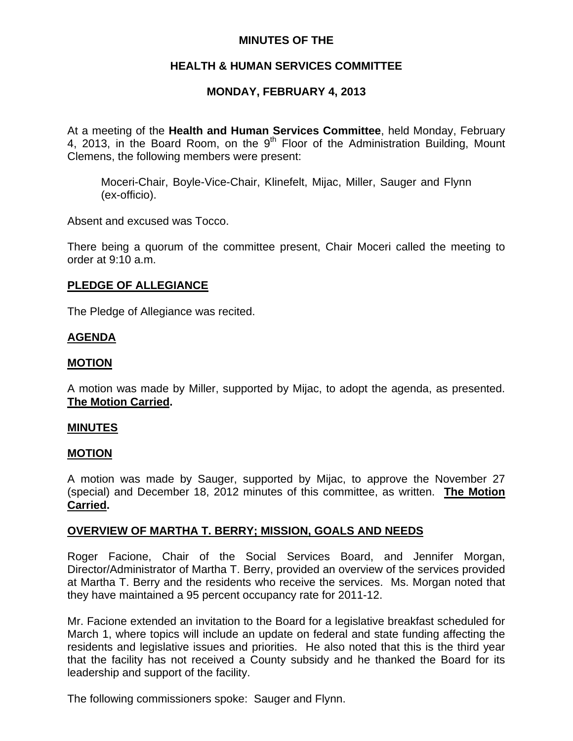## **MINUTES OF THE**

## **HEALTH & HUMAN SERVICES COMMITTEE**

# **MONDAY, FEBRUARY 4, 2013**

At a meeting of the **Health and Human Services Committee**, held Monday, February 4, 2013, in the Board Room, on the 9<sup>th</sup> Floor of the Administration Building, Mount Clemens, the following members were present:

Moceri-Chair, Boyle-Vice-Chair, Klinefelt, Mijac, Miller, Sauger and Flynn (ex-officio).

Absent and excused was Tocco.

There being a quorum of the committee present, Chair Moceri called the meeting to order at 9:10 a.m.

## **PLEDGE OF ALLEGIANCE**

The Pledge of Allegiance was recited.

## **AGENDA**

## **MOTION**

A motion was made by Miller, supported by Mijac, to adopt the agenda, as presented. **The Motion Carried.** 

### **MINUTES**

### **MOTION**

A motion was made by Sauger, supported by Mijac, to approve the November 27 (special) and December 18, 2012 minutes of this committee, as written. **The Motion Carried.** 

### **OVERVIEW OF MARTHA T. BERRY; MISSION, GOALS AND NEEDS**

Roger Facione, Chair of the Social Services Board, and Jennifer Morgan, Director/Administrator of Martha T. Berry, provided an overview of the services provided at Martha T. Berry and the residents who receive the services. Ms. Morgan noted that they have maintained a 95 percent occupancy rate for 2011-12.

Mr. Facione extended an invitation to the Board for a legislative breakfast scheduled for March 1, where topics will include an update on federal and state funding affecting the residents and legislative issues and priorities. He also noted that this is the third year that the facility has not received a County subsidy and he thanked the Board for its leadership and support of the facility.

The following commissioners spoke: Sauger and Flynn.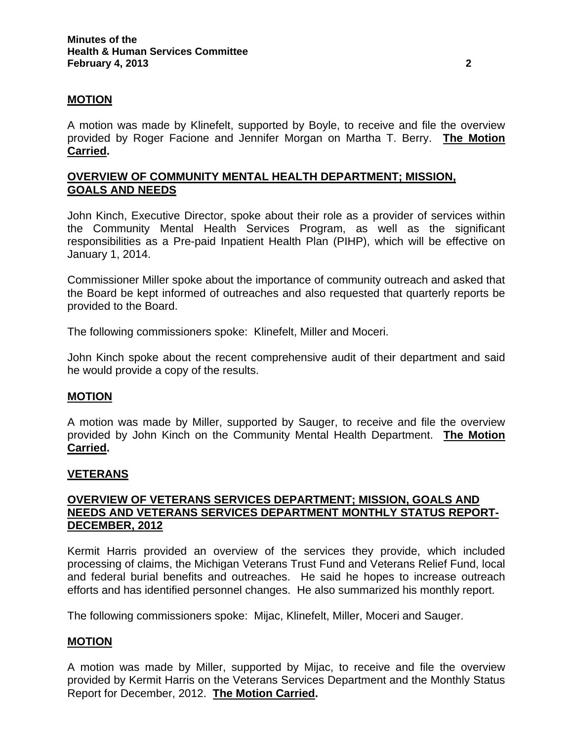### **MOTION**

A motion was made by Klinefelt, supported by Boyle, to receive and file the overview provided by Roger Facione and Jennifer Morgan on Martha T. Berry. **The Motion Carried.** 

## **OVERVIEW OF COMMUNITY MENTAL HEALTH DEPARTMENT; MISSION, GOALS AND NEEDS**

John Kinch, Executive Director, spoke about their role as a provider of services within the Community Mental Health Services Program, as well as the significant responsibilities as a Pre-paid Inpatient Health Plan (PIHP), which will be effective on January 1, 2014.

Commissioner Miller spoke about the importance of community outreach and asked that the Board be kept informed of outreaches and also requested that quarterly reports be provided to the Board.

The following commissioners spoke: Klinefelt, Miller and Moceri.

John Kinch spoke about the recent comprehensive audit of their department and said he would provide a copy of the results.

### **MOTION**

A motion was made by Miller, supported by Sauger, to receive and file the overview provided by John Kinch on the Community Mental Health Department. **The Motion Carried.** 

### **VETERANS**

## **OVERVIEW OF VETERANS SERVICES DEPARTMENT; MISSION, GOALS AND NEEDS AND VETERANS SERVICES DEPARTMENT MONTHLY STATUS REPORT-DECEMBER, 2012**

Kermit Harris provided an overview of the services they provide, which included processing of claims, the Michigan Veterans Trust Fund and Veterans Relief Fund, local and federal burial benefits and outreaches. He said he hopes to increase outreach efforts and has identified personnel changes. He also summarized his monthly report.

The following commissioners spoke: Mijac, Klinefelt, Miller, Moceri and Sauger.

### **MOTION**

A motion was made by Miller, supported by Mijac, to receive and file the overview provided by Kermit Harris on the Veterans Services Department and the Monthly Status Report for December, 2012. **The Motion Carried.**